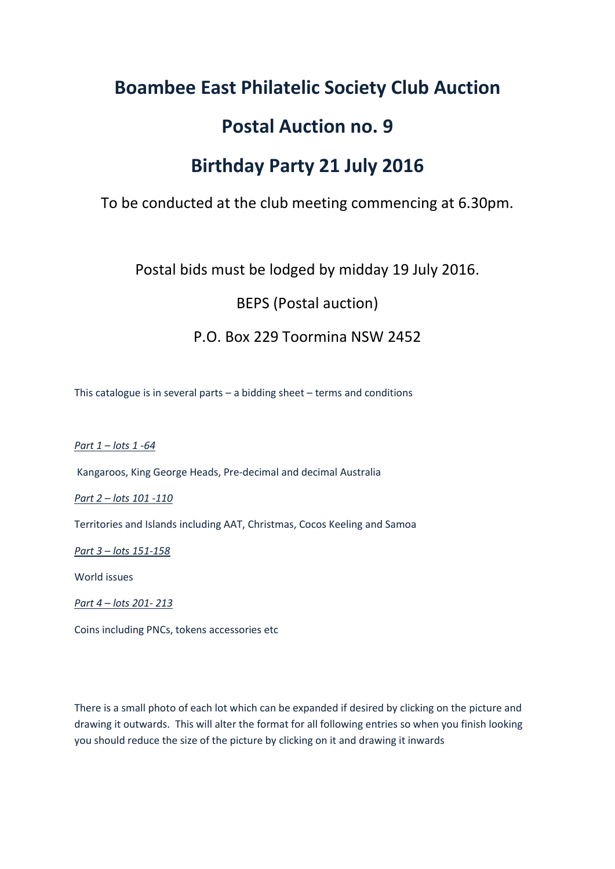### **Boambee East Philatelic Society Club Auction**

### **Postal Auction no. 9**

### **Birthday Party 21 July 2016**

To be conducted at the club meeting commencing at 6.30pm.

Postal bids must be lodged by midday 19 July 2016.

BEPS (Postal auction)

### P.O. Box 229 Toormina NSW 2452

This catalogue is in several parts – a bidding sheet – terms and conditions

*Part 1 – lots 1 -64*

Kangaroos, King George Heads, Pre-decimal and decimal Australia

*Part 2 – lots 101 -110*

Territories and Islands including AAT, Christmas, Cocos Keeling and Samoa

*Part 3 – lots 151-158*

World issues

*Part 4 – lots 201- 213*

Coins including PNCs, tokens accessories etc

There is a small photo of each lot which can be expanded if desired by clicking on the picture and drawing it outwards. This will alter the format for all following entries so when you finish looking you should reduce the size of the picture by clicking on it and drawing it inwards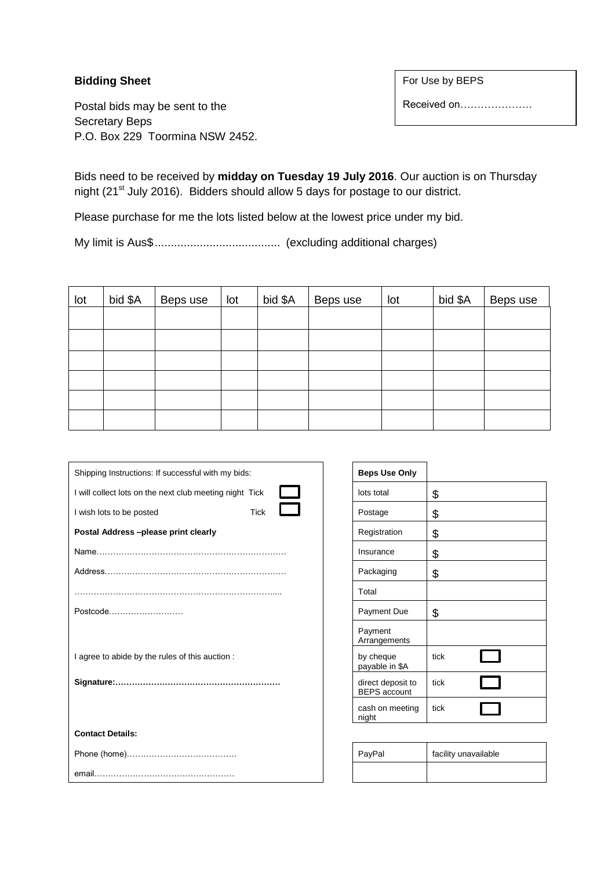#### **Bidding Sheet**

Postal bids may be sent to the Secretary Beps P.O. Box 229 Toormina NSW 2452. For Use by BEPS

Received on…………………

Bids need to be received by **midday on Tuesday 19 July 2016**. Our auction is on Thursday night (21st July 2016). Bidders should allow 5 days for postage to our district.

Please purchase for me the lots listed below at the lowest price under my bid.

My limit is Aus\$....................................... (excluding additional charges)

| lot | bid \$A | Beps use | lot | bid \$A | Beps use | lot | bid \$A | Beps use |
|-----|---------|----------|-----|---------|----------|-----|---------|----------|
|     |         |          |     |         |          |     |         |          |
|     |         |          |     |         |          |     |         |          |
|     |         |          |     |         |          |     |         |          |
|     |         |          |     |         |          |     |         |          |
|     |         |          |     |         |          |     |         |          |
|     |         |          |     |         |          |     |         |          |

| Shipping Instructions: If successful with my bids:      |             | <b>Beps Use Only</b>                     |                      |
|---------------------------------------------------------|-------------|------------------------------------------|----------------------|
| I will collect lots on the next club meeting night Tick |             | lots total                               | \$                   |
| I wish lots to be posted                                | <b>Tick</b> | Postage                                  | \$                   |
| Postal Address-please print clearly                     |             | Registration                             | \$                   |
|                                                         |             | Insurance                                | \$                   |
|                                                         |             | Packaging                                | \$                   |
|                                                         |             | Total                                    |                      |
| Postcode                                                |             | Payment Due                              | \$                   |
|                                                         |             | Payment<br>Arrangements                  |                      |
| I agree to abide by the rules of this auction :         |             | by cheque<br>payable in \$A              | tick                 |
|                                                         |             | direct deposit to<br><b>BEPS</b> account | tick                 |
|                                                         |             | cash on meeting<br>night                 | tick                 |
| <b>Contact Details:</b>                                 |             |                                          |                      |
|                                                         |             | PayPal                                   | facility unavailable |
|                                                         |             |                                          |                      |

| <b>Beps Use Only</b>                     |      |  |
|------------------------------------------|------|--|
| lots total                               | \$   |  |
| Postage                                  | \$   |  |
| Registration                             | \$   |  |
| Insurance                                | \$   |  |
| Packaging                                | \$   |  |
| Total                                    |      |  |
| <b>Payment Due</b>                       | \$   |  |
| Payment<br>Arrangements                  |      |  |
| by cheque<br>payable in \$A              | tick |  |
| direct deposit to<br><b>BEPS</b> account | tick |  |
| cash on meeting<br>night                 | tick |  |

| PayPal | facility unavailable |
|--------|----------------------|
|        |                      |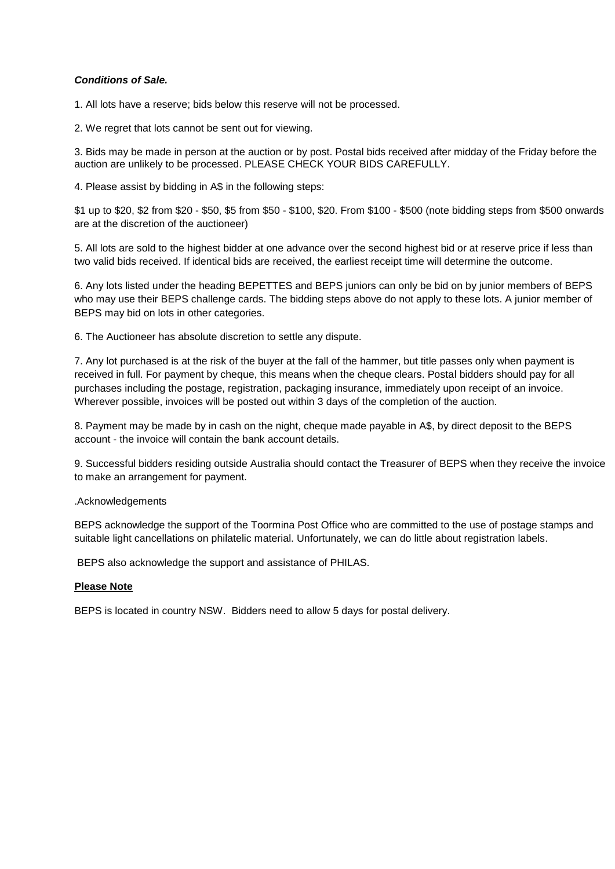#### *Conditions of Sale.*

1. All lots have a reserve; bids below this reserve will not be processed.

2. We regret that lots cannot be sent out for viewing.

3. Bids may be made in person at the auction or by post. Postal bids received after midday of the Friday before the auction are unlikely to be processed. PLEASE CHECK YOUR BIDS CAREFULLY.

4. Please assist by bidding in A\$ in the following steps:

\$1 up to \$20, \$2 from \$20 - \$50, \$5 from \$50 - \$100, \$20. From \$100 - \$500 (note bidding steps from \$500 onwards are at the discretion of the auctioneer)

5. All lots are sold to the highest bidder at one advance over the second highest bid or at reserve price if less than two valid bids received. If identical bids are received, the earliest receipt time will determine the outcome.

6. Any lots listed under the heading BEPETTES and BEPS juniors can only be bid on by junior members of BEPS who may use their BEPS challenge cards. The bidding steps above do not apply to these lots. A junior member of BEPS may bid on lots in other categories.

6. The Auctioneer has absolute discretion to settle any dispute.

7. Any lot purchased is at the risk of the buyer at the fall of the hammer, but title passes only when payment is received in full. For payment by cheque, this means when the cheque clears. Postal bidders should pay for all purchases including the postage, registration, packaging insurance, immediately upon receipt of an invoice. Wherever possible, invoices will be posted out within 3 days of the completion of the auction.

8. Payment may be made by in cash on the night, cheque made payable in A\$, by direct deposit to the BEPS account - the invoice will contain the bank account details.

9. Successful bidders residing outside Australia should contact the Treasurer of BEPS when they receive the invoice to make an arrangement for payment.

#### .Acknowledgements

BEPS acknowledge the support of the Toormina Post Office who are committed to the use of postage stamps and suitable light cancellations on philatelic material. Unfortunately, we can do little about registration labels.

BEPS also acknowledge the support and assistance of PHILAS.

#### **Please Note**

BEPS is located in country NSW. Bidders need to allow 5 days for postal delivery.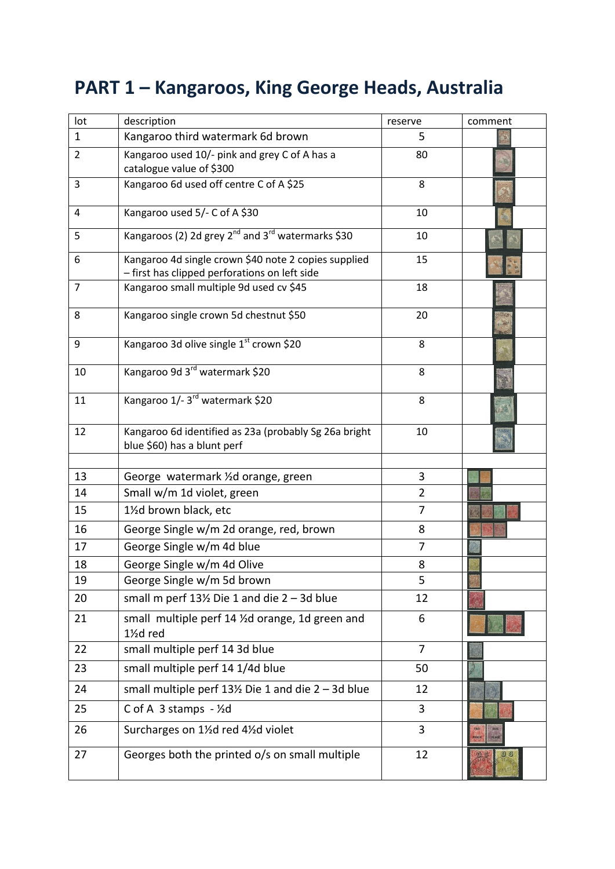# **PART 1 – Kangaroos, King George Heads, Australia**

| lot            | description                                                                                           | reserve                          | comment        |
|----------------|-------------------------------------------------------------------------------------------------------|----------------------------------|----------------|
| $\mathbf{1}$   | Kangaroo third watermark 6d brown                                                                     | 5                                |                |
| $\overline{2}$ | Kangaroo used 10/- pink and grey C of A has a<br>catalogue value of \$300                             | 80                               |                |
| 3              | Kangaroo 6d used off centre C of A \$25                                                               | 8                                |                |
| 4              | Kangaroo used 5/- C of A \$30                                                                         | 10                               |                |
| 5              | Kangaroos (2) 2d grey 2 <sup>nd</sup> and 3 <sup>rd</sup> watermarks \$30                             | 10                               |                |
| 6              | Kangaroo 4d single crown \$40 note 2 copies supplied<br>- first has clipped perforations on left side | 15                               |                |
| 7              | Kangaroo small multiple 9d used cv \$45                                                               | 18                               |                |
| 8              | Kangaroo single crown 5d chestnut \$50                                                                | 20                               |                |
| 9              | Kangaroo 3d olive single 1 <sup>st</sup> crown \$20                                                   | 8                                |                |
| 10             | Kangaroo 9d 3rd watermark \$20                                                                        | 8                                |                |
| 11             | Kangaroo 1/-3rd watermark \$20                                                                        | 8                                |                |
| 12             | Kangaroo 6d identified as 23a (probably Sg 26a bright<br>blue \$60) has a blunt perf                  | 10                               |                |
|                |                                                                                                       |                                  |                |
| 13             | George watermark 1/2d orange, green                                                                   | 3                                |                |
| 14             | Small w/m 1d violet, green                                                                            | $\overline{2}$<br>$\overline{7}$ |                |
| 15             | 11/2d brown black, etc                                                                                |                                  |                |
| 16             | George Single w/m 2d orange, red, brown                                                               | 8                                |                |
| 17             | George Single w/m 4d blue                                                                             | $\overline{7}$                   |                |
| 18             | George Single w/m 4d Olive                                                                            | 8                                |                |
| 19             | George Single w/m 5d brown                                                                            | 5                                |                |
| 20             | small m perf $13\frac{1}{2}$ Die 1 and die 2 - 3d blue                                                | 12                               |                |
| 21             | small multiple perf 14 1/2d orange, 1d green and<br>11/2d red                                         | 6                                |                |
| 22             | small multiple perf 14 3d blue                                                                        | $\overline{7}$                   |                |
| 23             | small multiple perf 14 1/4d blue                                                                      | 50                               |                |
| 24             | small multiple perf 13½ Die 1 and die 2 - 3d blue                                                     | 12                               |                |
| 25             | C of A $3$ stamps $-$ 1/2d                                                                            | 3                                |                |
| 26             | Surcharges on 11/2d red 41/2d violet                                                                  | 3                                |                |
| 27             | Georges both the printed o/s on small multiple                                                        | 12                               | 0 <sub>s</sub> |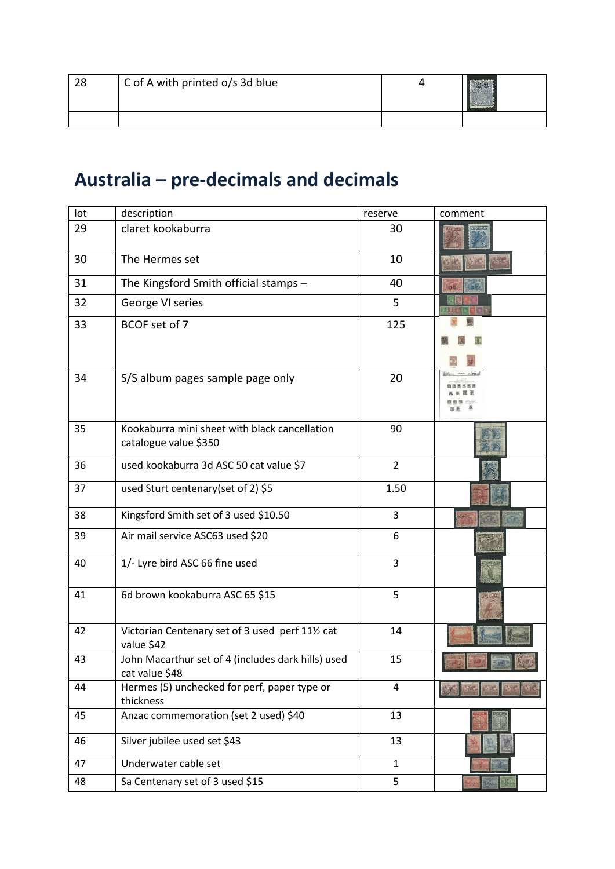| 28 | C of A with printed o/s 3d blue | <b>ACADEMAGAAAAAAAA</b> |
|----|---------------------------------|-------------------------|
|    |                                 |                         |

# **Australia – pre-decimals and decimals**

| lot | description                                                            | reserve        | comment |
|-----|------------------------------------------------------------------------|----------------|---------|
| 29  | claret kookaburra                                                      | 30             |         |
| 30  | The Hermes set                                                         | 10             |         |
| 31  | The Kingsford Smith official stamps -                                  | 40             |         |
| 32  | George VI series                                                       | 5              |         |
| 33  | BCOF set of 7                                                          | 125            |         |
| 34  | S/S album pages sample page only                                       | 20             |         |
| 35  | Kookaburra mini sheet with black cancellation<br>catalogue value \$350 | 90             |         |
| 36  | used kookaburra 3d ASC 50 cat value \$7                                | $\overline{2}$ |         |
| 37  | used Sturt centenary (set of 2) \$5                                    | 1.50           |         |
| 38  | Kingsford Smith set of 3 used \$10.50                                  | 3              |         |
| 39  | Air mail service ASC63 used \$20                                       | 6              |         |
| 40  | 1/- Lyre bird ASC 66 fine used                                         | 3              |         |
| 41  | 6d brown kookaburra ASC 65 \$15                                        | 5              |         |
| 42  | Victorian Centenary set of 3 used perf 111/2 cat<br>value \$42         | 14             |         |
| 43  | John Macarthur set of 4 (includes dark hills) used<br>cat value \$48   | 15             |         |
| 44  | Hermes (5) unchecked for perf, paper type or<br>thickness              | $\overline{4}$ |         |
| 45  | Anzac commemoration (set 2 used) \$40                                  | 13             |         |
| 46  | Silver jubilee used set \$43                                           | 13             |         |
| 47  | Underwater cable set                                                   | $\mathbf{1}$   |         |
| 48  | Sa Centenary set of 3 used \$15                                        | 5              |         |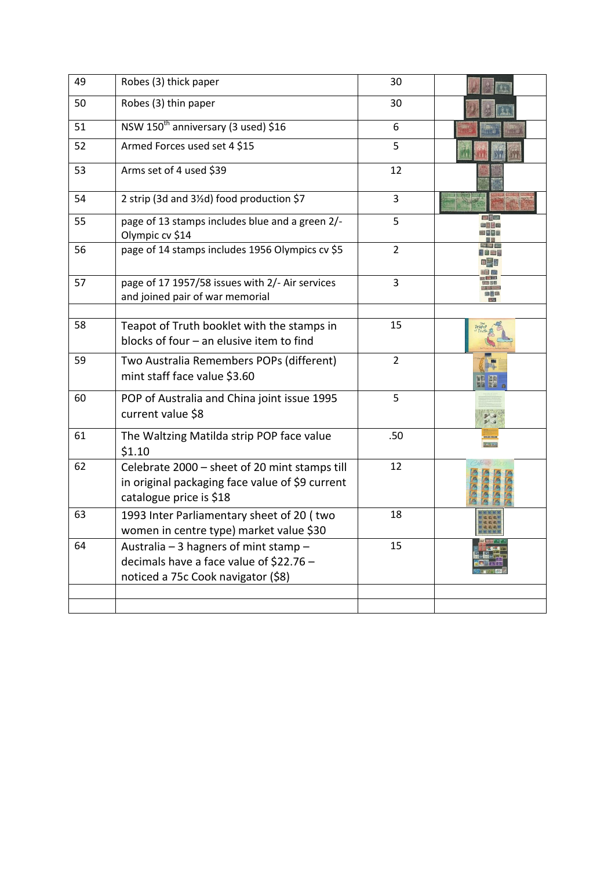| 49 | Robes (3) thick paper                                                                                                       | 30             |            |
|----|-----------------------------------------------------------------------------------------------------------------------------|----------------|------------|
| 50 | Robes (3) thin paper                                                                                                        | 30             |            |
| 51 | NSW 150 <sup>th</sup> anniversary (3 used) \$16                                                                             | 6              |            |
| 52 | Armed Forces used set 4 \$15                                                                                                | 5              |            |
| 53 | Arms set of 4 used \$39                                                                                                     | 12             |            |
| 54 | 2 strip (3d and 3½d) food production \$7                                                                                    | 3              |            |
| 55 | page of 13 stamps includes blue and a green 2/-<br>Olympic cv \$14                                                          | 5              |            |
| 56 | page of 14 stamps includes 1956 Olympics cv \$5                                                                             | $\overline{2}$ |            |
| 57 | page of 17 1957/58 issues with 2/- Air services<br>and joined pair of war memorial                                          | 3              | 南南區<br>通用信 |
| 58 | Teapot of Truth booklet with the stamps in<br>blocks of four - an elusive item to find                                      | 15             |            |
| 59 | Two Australia Remembers POPs (different)<br>mint staff face value \$3.60                                                    | $\overline{2}$ |            |
| 60 | POP of Australia and China joint issue 1995<br>current value \$8                                                            | 5              |            |
| 61 | The Waltzing Matilda strip POP face value<br>\$1.10                                                                         | .50            |            |
| 62 | Celebrate 2000 - sheet of 20 mint stamps till<br>in original packaging face value of \$9 current<br>catalogue price is \$18 | 12             |            |
| 63 | 1993 Inter Parliamentary sheet of 20 (two<br>women in centre type) market value \$30                                        | 18             |            |
| 64 | Australia - 3 hagners of mint stamp -<br>decimals have a face value of \$22.76 -<br>noticed a 75c Cook navigator (\$8)      | 15             |            |
|    |                                                                                                                             |                |            |
|    |                                                                                                                             |                |            |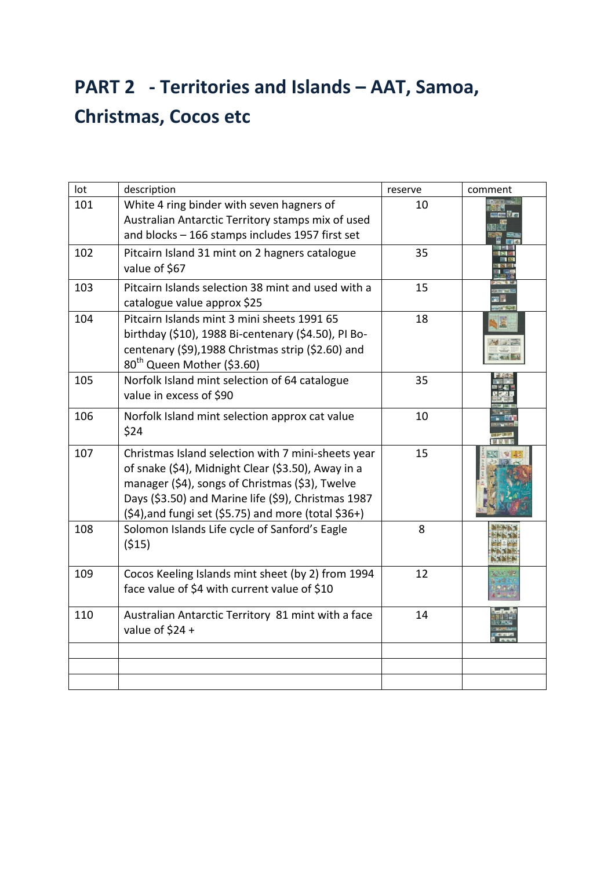## **PART 2 - Territories and Islands – AAT, Samoa, Christmas, Cocos etc**

| lot | description                                                                                                                                                                                                                                                                     | reserve | comment |
|-----|---------------------------------------------------------------------------------------------------------------------------------------------------------------------------------------------------------------------------------------------------------------------------------|---------|---------|
| 101 | White 4 ring binder with seven hagners of<br>Australian Antarctic Territory stamps mix of used<br>and blocks - 166 stamps includes 1957 first set                                                                                                                               | 10      |         |
| 102 | Pitcairn Island 31 mint on 2 hagners catalogue<br>value of \$67                                                                                                                                                                                                                 | 35      |         |
| 103 | Pitcairn Islands selection 38 mint and used with a<br>catalogue value approx \$25                                                                                                                                                                                               | 15      |         |
| 104 | Pitcairn Islands mint 3 mini sheets 1991 65<br>birthday (\$10), 1988 Bi-centenary (\$4.50), PI Bo-<br>centenary (\$9),1988 Christmas strip (\$2.60) and<br>80 <sup>th</sup> Queen Mother (\$3.60)                                                                               | 18      |         |
| 105 | Norfolk Island mint selection of 64 catalogue<br>value in excess of \$90                                                                                                                                                                                                        | 35      |         |
| 106 | Norfolk Island mint selection approx cat value<br>\$24                                                                                                                                                                                                                          | 10      |         |
| 107 | Christmas Island selection with 7 mini-sheets year<br>of snake (\$4), Midnight Clear (\$3.50), Away in a<br>manager (\$4), songs of Christmas (\$3), Twelve<br>Days (\$3.50) and Marine life (\$9), Christmas 1987<br>$(54)$ , and fungi set $(55.75)$ and more (total $$36+$ ) | 15      |         |
| 108 | Solomon Islands Life cycle of Sanford's Eagle<br>(515)                                                                                                                                                                                                                          | 8       |         |
| 109 | Cocos Keeling Islands mint sheet (by 2) from 1994<br>face value of \$4 with current value of \$10                                                                                                                                                                               | 12      |         |
| 110 | Australian Antarctic Territory 81 mint with a face<br>value of $$24 +$                                                                                                                                                                                                          | 14      |         |
|     |                                                                                                                                                                                                                                                                                 |         |         |
|     |                                                                                                                                                                                                                                                                                 |         |         |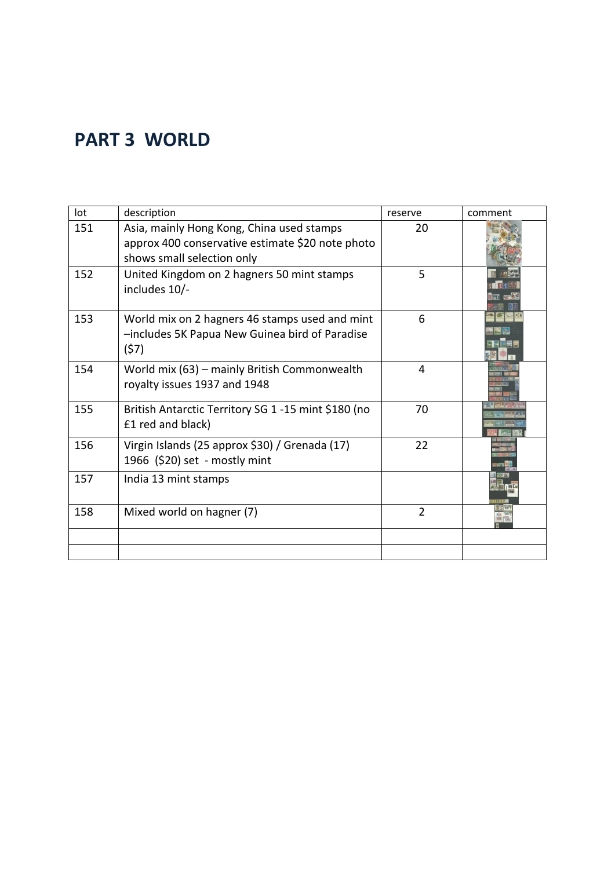## **PART 3 WORLD**

| lot | description                                                                                                                 | reserve        | comment |
|-----|-----------------------------------------------------------------------------------------------------------------------------|----------------|---------|
| 151 | Asia, mainly Hong Kong, China used stamps<br>approx 400 conservative estimate \$20 note photo<br>shows small selection only | 20             |         |
| 152 | United Kingdom on 2 hagners 50 mint stamps<br>includes 10/-                                                                 | 5              |         |
| 153 | World mix on 2 hagners 46 stamps used and mint<br>-includes 5K Papua New Guinea bird of Paradise<br>(57)                    | 6              |         |
| 154 | World mix (63) - mainly British Commonwealth<br>royalty issues 1937 and 1948                                                | 4              |         |
| 155 | British Antarctic Territory SG 1 -15 mint \$180 (no<br>£1 red and black)                                                    | 70             |         |
| 156 | Virgin Islands (25 approx \$30) / Grenada (17)<br>1966 (\$20) set - mostly mint                                             | 22             |         |
| 157 | India 13 mint stamps                                                                                                        |                |         |
| 158 | Mixed world on hagner (7)                                                                                                   | $\overline{2}$ |         |
|     |                                                                                                                             |                |         |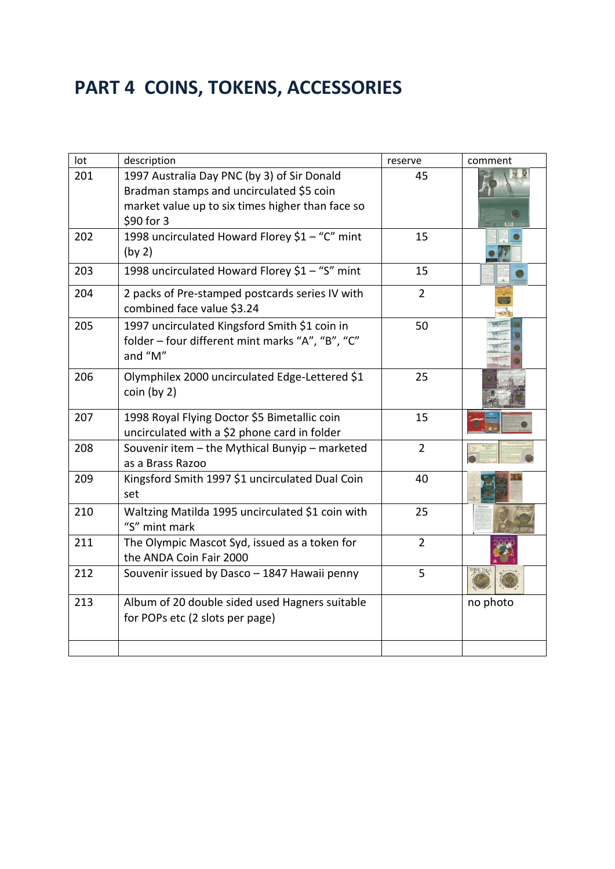## **PART 4 COINS, TOKENS, ACCESSORIES**

| lot | description                                                                                                                                               | reserve        | comment  |
|-----|-----------------------------------------------------------------------------------------------------------------------------------------------------------|----------------|----------|
| 201 | 1997 Australia Day PNC (by 3) of Sir Donald<br>Bradman stamps and uncirculated \$5 coin<br>market value up to six times higher than face so<br>\$90 for 3 | 45             |          |
| 202 | 1998 uncirculated Howard Florey \$1 - "C" mint<br>(by 2)                                                                                                  | 15             |          |
| 203 | 1998 uncirculated Howard Florey \$1 - "S" mint                                                                                                            | 15             |          |
| 204 | 2 packs of Pre-stamped postcards series IV with<br>combined face value \$3.24                                                                             | $\overline{2}$ |          |
| 205 | 1997 uncirculated Kingsford Smith \$1 coin in<br>folder - four different mint marks "A", "B", "C"<br>and "M"                                              | 50             |          |
| 206 | Olymphilex 2000 uncirculated Edge-Lettered \$1<br>coin (by 2)                                                                                             | 25             |          |
| 207 | 1998 Royal Flying Doctor \$5 Bimetallic coin<br>uncirculated with a \$2 phone card in folder                                                              | 15             |          |
| 208 | Souvenir item - the Mythical Bunyip - marketed<br>as a Brass Razoo                                                                                        | $\overline{2}$ |          |
| 209 | Kingsford Smith 1997 \$1 uncirculated Dual Coin<br>set                                                                                                    | 40             |          |
| 210 | Waltzing Matilda 1995 uncirculated \$1 coin with<br>"S" mint mark                                                                                         | 25             |          |
| 211 | The Olympic Mascot Syd, issued as a token for<br>the ANDA Coin Fair 2000                                                                                  | $\overline{2}$ |          |
| 212 | Souvenir issued by Dasco - 1847 Hawaii penny                                                                                                              | 5              |          |
| 213 | Album of 20 double sided used Hagners suitable<br>for POPs etc (2 slots per page)                                                                         |                | no photo |
|     |                                                                                                                                                           |                |          |